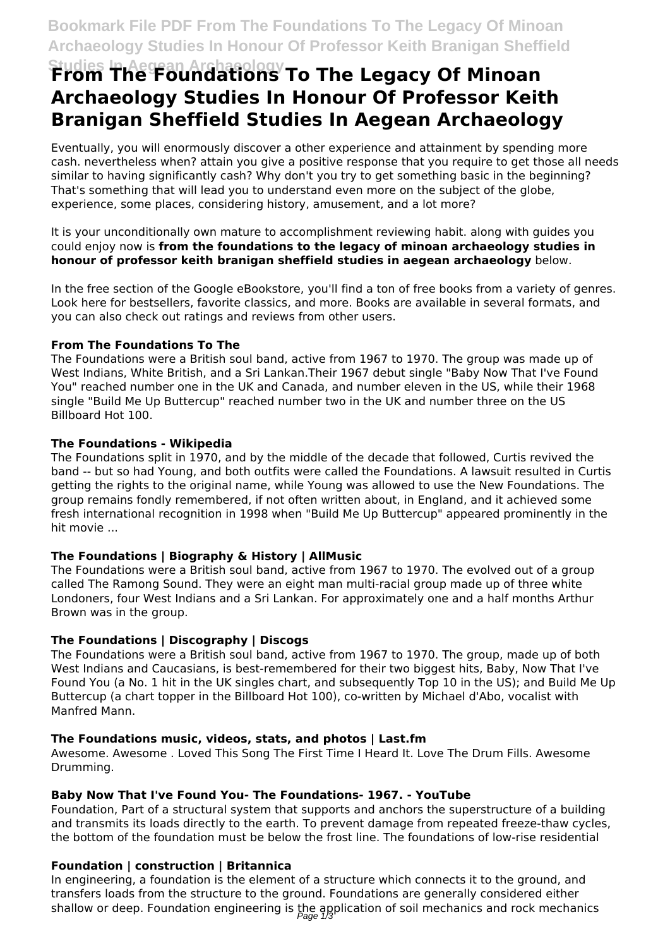# **Studies In Aegean Archaeology From The Foundations To The Legacy Of Minoan Archaeology Studies In Honour Of Professor Keith Branigan Sheffield Studies In Aegean Archaeology**

Eventually, you will enormously discover a other experience and attainment by spending more cash. nevertheless when? attain you give a positive response that you require to get those all needs similar to having significantly cash? Why don't you try to get something basic in the beginning? That's something that will lead you to understand even more on the subject of the globe, experience, some places, considering history, amusement, and a lot more?

It is your unconditionally own mature to accomplishment reviewing habit. along with guides you could enjoy now is **from the foundations to the legacy of minoan archaeology studies in honour of professor keith branigan sheffield studies in aegean archaeology** below.

In the free section of the Google eBookstore, you'll find a ton of free books from a variety of genres. Look here for bestsellers, favorite classics, and more. Books are available in several formats, and you can also check out ratings and reviews from other users.

# **From The Foundations To The**

The Foundations were a British soul band, active from 1967 to 1970. The group was made up of West Indians, White British, and a Sri Lankan.Their 1967 debut single "Baby Now That I've Found You" reached number one in the UK and Canada, and number eleven in the US, while their 1968 single "Build Me Up Buttercup" reached number two in the UK and number three on the US Billboard Hot 100.

# **The Foundations - Wikipedia**

The Foundations split in 1970, and by the middle of the decade that followed, Curtis revived the band -- but so had Young, and both outfits were called the Foundations. A lawsuit resulted in Curtis getting the rights to the original name, while Young was allowed to use the New Foundations. The group remains fondly remembered, if not often written about, in England, and it achieved some fresh international recognition in 1998 when "Build Me Up Buttercup" appeared prominently in the hit movie ...

# **The Foundations | Biography & History | AllMusic**

The Foundations were a British soul band, active from 1967 to 1970. The evolved out of a group called The Ramong Sound. They were an eight man multi-racial group made up of three white Londoners, four West Indians and a Sri Lankan. For approximately one and a half months Arthur Brown was in the group.

# **The Foundations | Discography | Discogs**

The Foundations were a British soul band, active from 1967 to 1970. The group, made up of both West Indians and Caucasians, is best-remembered for their two biggest hits, Baby, Now That I've Found You (a No. 1 hit in the UK singles chart, and subsequently Top 10 in the US); and Build Me Up Buttercup (a chart topper in the Billboard Hot 100), co-written by Michael d'Abo, vocalist with Manfred Mann.

# **The Foundations music, videos, stats, and photos | Last.fm**

Awesome. Awesome . Loved This Song The First Time I Heard It. Love The Drum Fills. Awesome Drumming.

# **Baby Now That I've Found You- The Foundations- 1967. - YouTube**

Foundation, Part of a structural system that supports and anchors the superstructure of a building and transmits its loads directly to the earth. To prevent damage from repeated freeze-thaw cycles, the bottom of the foundation must be below the frost line. The foundations of low-rise residential

# **Foundation | construction | Britannica**

In engineering, a foundation is the element of a structure which connects it to the ground, and transfers loads from the structure to the ground. Foundations are generally considered either shallow or deep. Foundation engineering is the application of soil mechanics and rock mechanics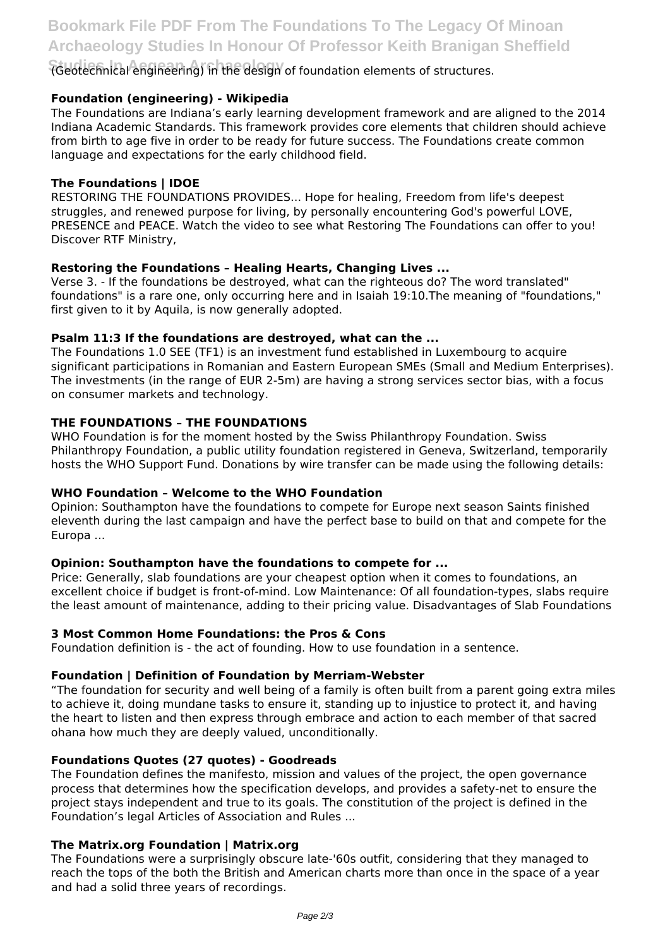**Studies In Aegean Archaeology** (Geotechnical engineering) in the design of foundation elements of structures.

# **Foundation (engineering) - Wikipedia**

The Foundations are Indiana's early learning development framework and are aligned to the 2014 Indiana Academic Standards. This framework provides core elements that children should achieve from birth to age five in order to be ready for future success. The Foundations create common language and expectations for the early childhood field.

# **The Foundations | IDOE**

RESTORING THE FOUNDATIONS PROVIDES... Hope for healing, Freedom from life's deepest struggles, and renewed purpose for living, by personally encountering God's powerful LOVE, PRESENCE and PEACE. Watch the video to see what Restoring The Foundations can offer to you! Discover RTF Ministry,

# **Restoring the Foundations – Healing Hearts, Changing Lives ...**

Verse 3. - If the foundations be destroyed, what can the righteous do? The word translated" foundations" is a rare one, only occurring here and in Isaiah 19:10.The meaning of "foundations," first given to it by Aquila, is now generally adopted.

# **Psalm 11:3 If the foundations are destroyed, what can the ...**

The Foundations 1.0 SEE (TF1) is an investment fund established in Luxembourg to acquire significant participations in Romanian and Eastern European SMEs (Small and Medium Enterprises). The investments (in the range of EUR 2-5m) are having a strong services sector bias, with a focus on consumer markets and technology.

# **THE FOUNDATIONS – THE FOUNDATIONS**

WHO Foundation is for the moment hosted by the Swiss Philanthropy Foundation. Swiss Philanthropy Foundation, a public utility foundation registered in Geneva, Switzerland, temporarily hosts the WHO Support Fund. Donations by wire transfer can be made using the following details:

# **WHO Foundation – Welcome to the WHO Foundation**

Opinion: Southampton have the foundations to compete for Europe next season Saints finished eleventh during the last campaign and have the perfect base to build on that and compete for the Europa ...

# **Opinion: Southampton have the foundations to compete for ...**

Price: Generally, slab foundations are your cheapest option when it comes to foundations, an excellent choice if budget is front-of-mind. Low Maintenance: Of all foundation-types, slabs require the least amount of maintenance, adding to their pricing value. Disadvantages of Slab Foundations

# **3 Most Common Home Foundations: the Pros & Cons**

Foundation definition is - the act of founding. How to use foundation in a sentence.

# **Foundation | Definition of Foundation by Merriam-Webster**

"The foundation for security and well being of a family is often built from a parent going extra miles to achieve it, doing mundane tasks to ensure it, standing up to injustice to protect it, and having the heart to listen and then express through embrace and action to each member of that sacred ohana how much they are deeply valued, unconditionally.

# **Foundations Quotes (27 quotes) - Goodreads**

The Foundation defines the manifesto, mission and values of the project, the open governance process that determines how the specification develops, and provides a safety-net to ensure the project stays independent and true to its goals. The constitution of the project is defined in the Foundation's legal Articles of Association and Rules ...

# **The Matrix.org Foundation | Matrix.org**

The Foundations were a surprisingly obscure late-'60s outfit, considering that they managed to reach the tops of the both the British and American charts more than once in the space of a year and had a solid three years of recordings.